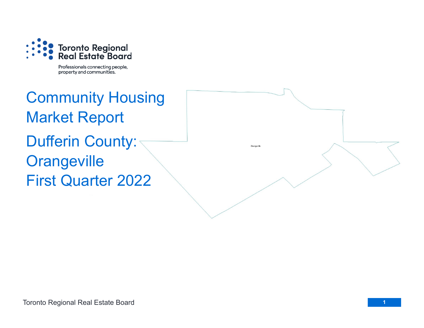

Professionals connecting people, property and communities.

Community Housing Market Report Dufferin County: **Orangeville** First Quarter 2022

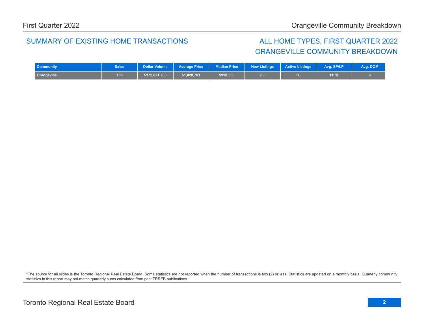## SUMMARY OF EXISTING HOME TRANSACTIONS ALL HOME TYPES, FIRST QUARTER 2022

## ORANGEVILLE COMMUNITY BREAKDOWN

| <b>Community</b> | <b>Sales</b> |               | Dollar Volume   Average Price   Median Price |           | New Listings | <b>Active Listings</b> | Avg. SP/LP | Avg. DOM |
|------------------|--------------|---------------|----------------------------------------------|-----------|--------------|------------------------|------------|----------|
| Orangeville      | 168          | \$172,821,783 | \$1,028,701                                  | \$990,556 | 260          |                        | 115%       |          |

\*The source for all slides is the Toronto Regional Real Estate Board. Some statistics are not reported when the number of transactions is two (2) or less. Statistics are updated on a monthly basis. Quarterly community statistics in this report may not match quarterly sums calculated from past TRREB publications.